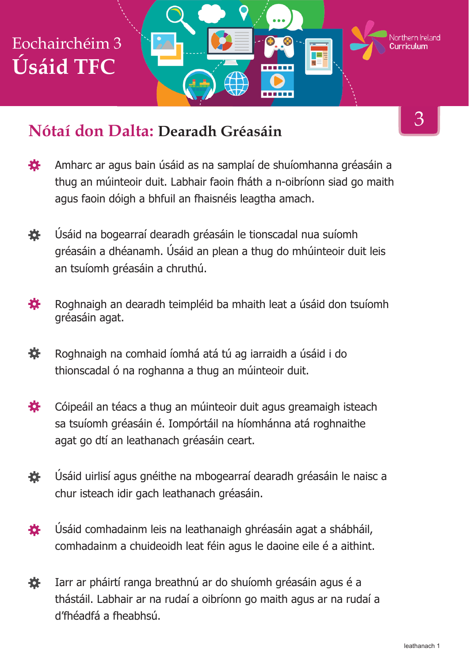#### **Nótaí don Dalta: Dearadh Gréasáin**

- Amharc ar agus bain úsáid as na samplaí de shuíomhanna gréasáin a 娄 thug an múinteoir duit. Labhair faoin fháth a n-oibríonn siad go maith agus faoin dóigh a bhfuil an fhaisnéis leagtha amach.
- 赛 Úsáid na bogearraí dearadh gréasáin le tionscadal nua suíomh gréasáin a dhéanamh. Úsáid an plean a thug do mhúinteoir duit leis an tsuíomh gréasáin a chruthú.
- 養 Roghnaigh an dearadh teimpléid ba mhaith leat a úsáid don tsuíomh gréasáin agat.
- 養 Roghnaigh na comhaid íomhá atá tú ag iarraidh a úsáid i do thionscadal ó na roghanna a thug an múinteoir duit.
- 娄 Cóipeáil an téacs a thug an múinteoir duit agus greamaigh isteach sa tsuíomh gréasáin é. Iompórtáil na híomhánna atá roghnaithe agat go dtí an leathanach gréasáin ceart.
- Úsáid uirlisí agus gnéithe na mbogearraí dearadh gréasáin le naisc a 養 chur isteach idir gach leathanach gréasáin.
- Úsáid comhadainm leis na leathanaigh ghréasáin agat a shábháil, 春 comhadainm a chuideoidh leat féin agus le daoine eile é a aithint.
- 娄 Iarr ar pháirtí ranga breathnú ar do shuíomh gréasáin agus é a thástáil. Labhair ar na rudaí a oibríonn go maith agus ar na rudaí a d'fhéadfá a fheabhsú.

3

Northern **Ir**eland

TE 5

an ba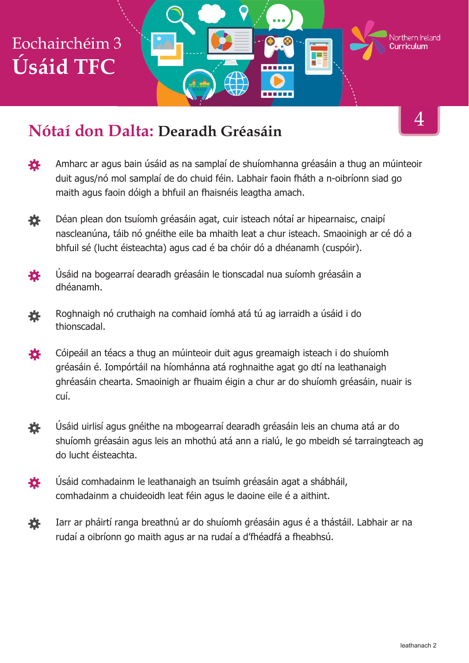#### **Nótaí don Dalta: Dearadh Gréasáin**

Amharc ar agus bain úsáid as na samplaí de shuíomhanna gréasáin a thug an múinteoir 養 duit agus/nó mol samplaí de do chuid féin. Labhair faoin fháth a n-oibríonn siad go maith agus faoin dóigh a bhfuil an fhaisnéis leagtha amach.

------

- 養 Déan plean don tsuíomh gréasáin agat, cuir isteach nótaí ar hipearnaisc, cnaipí nascleanúna, táib nó gnéithe eile ba mhaith leat a chur isteach. Smaoinigh ar cé dó a bhfuil sé (lucht éisteachta) agus cad é ba chóir dó a dhéanamh (cuspóir).
- Úsáid na bogearraí dearadh gréasáin le tionscadal nua suíomh gréasáin a 養 dhéanamh.
- Roghnaigh nó cruthaigh na comhaid íomhá atá tú ag iarraidh a úsáid i do 養 thionscadal.
- Cóipeáil an téacs a thug an múinteoir duit agus greamaigh isteach i do shuíomh 娄 gréasáin é. Iompórtáil na híomhánna atá roghnaithe agat go dtí na leathanaigh ghréasáin chearta. Smaoinigh ar fhuaim éigin a chur ar do shuíomh gréasáin, nuair is cuí.
- Úsáid uirlisí agus gnéithe na mbogearraí dearadh gréasáin leis an chuma atá ar do 養 shuíomh gréasáin agus leis an mhothú atá ann a rialú, le go mbeidh sé tarraingteach ag do lucht éisteachta.
- Úsáid comhadainm le leathanaigh an tsuímh gréasáin agat a shábháil, 養 comhadainm a chuideoidh leat féin agus le daoine eile é a aithint.
- Iarr ar pháirtí ranga breathnú ar do shuíomh gréasáin agus é a thástáil. Labhair ar na 養 rudaí a oibríonn go maith agus ar na rudaí a d'fhéadfá a fheabhsú.

4

Northern Ireland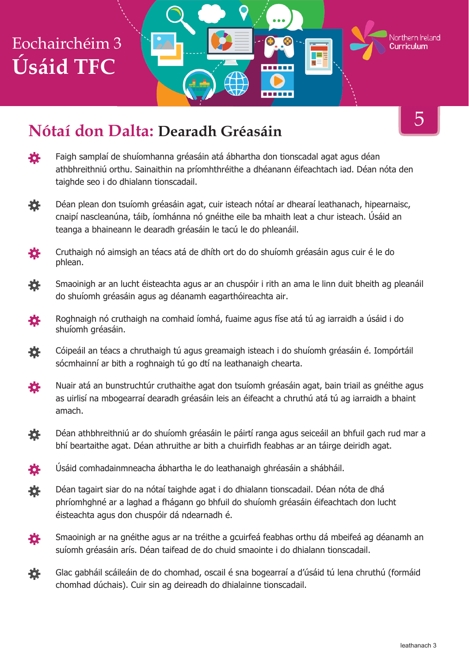

### **Nótaí don Dalta: Dearadh Gréasáin**

- 登 Faigh samplaí de shuíomhanna gréasáin atá ábhartha don tionscadal agat agus déan athbhreithniú orthu. Sainaithin na príomhthréithe a dhéanann éifeachtach iad. Déan nóta den taighde seo i do dhialann tionscadail.
- 许 Déan plean don tsuíomh gréasáin agat, cuir isteach nótaí ar dhearaí leathanach, hipearnaisc, cnaipí nascleanúna, táib, íomhánna nó gnéithe eile ba mhaith leat a chur isteach. Úsáid an teanga a bhaineann le dearadh gréasáin le tacú le do phleanáil.
- Cruthaigh nó aimsigh an téacs atá de dhíth ort do do shuíomh gréasáin agus cuir é le do 瓷 phlean.
- Smaoinigh ar an lucht éisteachta agus ar an chuspóir i rith an ama le linn duit bheith ag pleanáil 養 do shuíomh gréasáin agus ag déanamh eagarthóireachta air.
- Roghnaigh nó cruthaigh na comhaid íomhá, fuaime agus físe atá tú ag iarraidh a úsáid i do 登 shuíomh gréasáin.
- Cóipeáil an téacs a chruthaigh tú agus greamaigh isteach i do shuíomh gréasáin é. Iompórtáil 養 sócmhainní ar bith a roghnaigh tú go dtí na leathanaigh chearta.
- Nuair atá an bunstruchtúr cruthaithe agat don tsuíomh gréasáin agat, bain triail as gnéithe agus 瓷 as uirlisí na mbogearraí dearadh gréasáin leis an éifeacht a chruthú atá tú ag iarraidh a bhaint amach.
- Déan athbhreithniú ar do shuíomh gréasáin le páirtí ranga agus seiceáil an bhfuil gach rud mar a 峑 bhí beartaithe agat. Déan athruithe ar bith a chuirfidh feabhas ar an táirge deiridh agat.
- 苍 Úsáid comhadainmneacha ábhartha le do leathanaigh ghréasáin a shábháil.
- 娄 Déan tagairt siar do na nótaí taighde agat i do dhialann tionscadail. Déan nóta de dhá phríomhghné ar a laghad a fhágann go bhfuil do shuíomh gréasáin éifeachtach don lucht éisteachta agus don chuspóir dá ndearnadh é.
- 養 Smaoinigh ar na gnéithe agus ar na tréithe a gcuirfeá feabhas orthu dá mbeifeá ag déanamh an suíomh gréasáin arís. Déan taifead de do chuid smaointe i do dhialann tionscadail.
- 養 Glac gabháil scáileáin de do chomhad, oscail é sna bogearraí a d'úsáid tú lena chruthú (formáid chomhad dúchais). Cuir sin ag deireadh do dhialainne tionscadail.

5